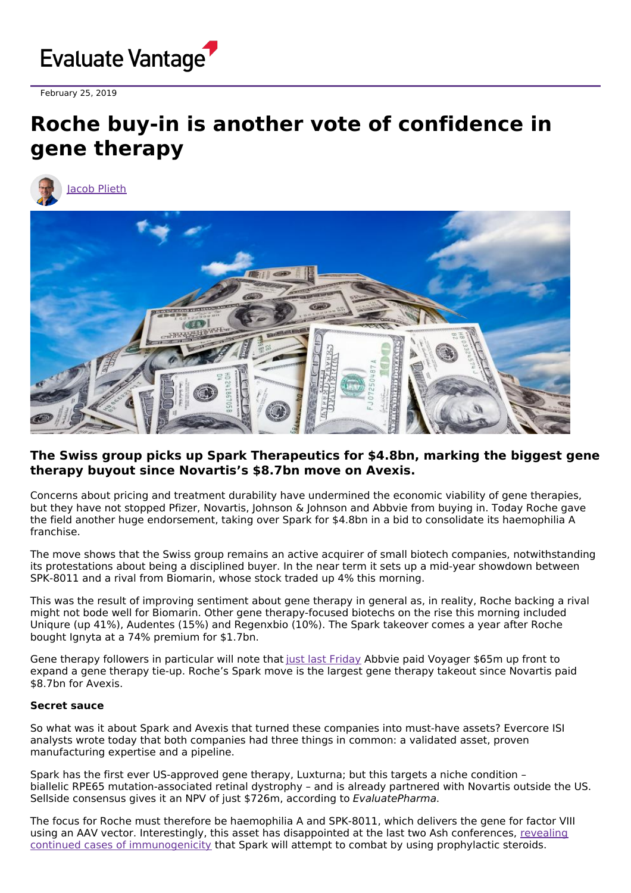

February 25, 2019

## **Roche buy-in is another vote of confidence in gene therapy**





## **The Swiss group picks up Spark Therapeutics for \$4.8bn, marking the biggest gene therapy buyout since Novartis's \$8.7bn move on Avexis.**

Concerns about pricing and treatment durability have undermined the economic viability of gene therapies, but they have not stopped Pfizer, Novartis, Johnson & Johnson and Abbvie from buying in. Today Roche gave the field another huge endorsement, taking over Spark for \$4.8bn in a bid to consolidate its haemophilia A franchise.

The move shows that the Swiss group remains an active acquirer of small biotech companies, notwithstanding its protestations about being a disciplined buyer. In the near term it sets up a mid-year showdown between SPK-8011 and a rival from Biomarin, whose stock traded up 4% this morning.

This was the result of improving sentiment about gene therapy in general as, in reality, Roche backing a rival might not bode well for Biomarin. Other gene therapy-focused biotechs on the rise this morning included Uniqure (up 41%), Audentes (15%) and Regenxbio (10%). The Spark takeover comes a year after Roche bought Ignyta at a 74% premium for \$1.7bn.

Gene therapy followers in particular will note that just last [Friday](https://globenewswire.com/news-release/2019/02/22/1740257/0/en/Voyager-Therapeutics-and-AbbVie-Announce-Collaboration-to-Develop-Vectorized-Antibodies-to-Treat-Parkinson-s-Disease-and-Other-Synucleinopathies.html) Abbvie paid Voyager \$65m up front to expand a gene therapy tie-up. Roche's Spark move is the largest gene therapy takeout since Novartis paid \$8.7bn for Avexis.

## **Secret sauce**

So what was it about Spark and Avexis that turned these companies into must-have assets? Evercore ISI analysts wrote today that both companies had three things in common: a validated asset, proven manufacturing expertise and a pipeline.

Spark has the first ever US-approved gene therapy, Luxturna; but this targets a niche condition – biallelic RPE65 mutation-associated retinal dystrophy – and is already partnered with Novartis outside the US. Sellside consensus gives it an NPV of just \$726m, according to EvaluatePharma.

The focus for Roche must therefore be haemophilia A and SPK-8011, which delivers the gene for factor VIII using an AAV vector. Interestingly, this asset has disappointed at the last two Ash conferences, revealing continued cases of [immunogenicity](http://www.evaluate.com/vantage/articles/news/snippets/ash-2018-sparks-haemophilia-hopes-dim) that Spark will attempt to combat by using prophylactic steroids.